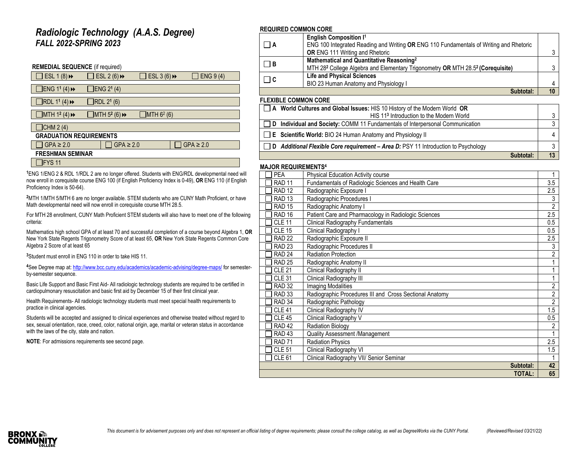### *Radiologic Technology (A.A.S. Degree) FALL 2022-SPRING 2023*

| <b>REMEDIAL SEQUENCE</b> (if required)  |            |                                          |                          |                |  |  |
|-----------------------------------------|------------|------------------------------------------|--------------------------|----------------|--|--|
| ESL $1(8)$ <sup>+</sup>                 |            | ESL 2 $(6)$ <sup>+</sup>                 | ESL $3(6)$ $\rightarrow$ | ENG 9 (4)      |  |  |
| ]ENG 11 (4) →                           |            | ENG 21 (4)                               |                          |                |  |  |
| $JRDL$ 1 <sup>1</sup> (4) $\rightarrow$ | RDL 21 (6) |                                          |                          |                |  |  |
| MTH $1^2$ (4) $\rightarrow$             |            | $J$ MTH 5 <sup>2</sup> (6) $\rightarrow$ | MTH 6 <sup>2</sup> (6)   |                |  |  |
| CHM 2 (4)                               |            |                                          |                          |                |  |  |
| <b>GRADUATION REQUIREMENTS</b>          |            |                                          |                          |                |  |  |
| $GPA \geq 2.0$                          |            | $GPA \geq 2.0$                           |                          | $GPA \geq 2.0$ |  |  |
| <b>FRESHMAN SEMINAR</b>                 |            |                                          |                          |                |  |  |
| FYS <sub>11</sub>                       |            |                                          |                          |                |  |  |

**<sup>1</sup>**ENG 1/ENG 2 & RDL 1/RDL 2 are no longer offered. Students with ENG/RDL developmental need will now enroll in corequisite course ENG 100 (if English Proficiency Index is 0-49), **OR** ENG 110 (if English Proficiency Index is 50-64).

**<sup>2</sup>**MTH 1/MTH 5/MTH 6 are no longer available. STEM students who are CUNY Math Proficient, or have Math developmental need will now enroll in corequisite course MTH 28.5.

For MTH 28 enrollment, CUNY Math Proficient STEM students will also have to meet one of the following criteria:

Mathematics high school GPA of at least 70 and successful completion of a course beyond Algebra 1, **OR** New York State Regents Trigonometry Score of at least 65, **OR** New York State Regents Common Core Algebra 2 Score of at least 65

**<sup>3</sup>**Student must enroll in ENG 110 in order to take HIS 11.

**<sup>4</sup>**See Degree map at[: http://www.bcc.cuny.edu/academics/academic-advising/degree-maps/](http://www.bcc.cuny.edu/academics/academic-advising/degree-maps/) for semesterby-semester sequence.

Basic Life Support and Basic First Aid- All radiologic technology students are required to be certified in cardiopulmonary resuscitation and basic first aid by December 15 of their first clinical year.

Health Requirements- All radiologic technology students must meet special health requirements to practice in clinical agencies.

Students will be accepted and assigned to clinical experiences and otherwise treated without regard to sex, sexual orientation, race, creed, color, national origin, age, marital or veteran status in accordance with the laws of the city, state and nation.

**NOTE**: For admissions requirements see second page.

### **REQUIRED COMMON CORE**

|          | <b>English Composition I<sup>1</sup></b>                                                               |  |
|----------|--------------------------------------------------------------------------------------------------------|--|
| $\Box$ A | ENG 100 Integrated Reading and Writing OR ENG 110 Fundamentals of Writing and Rhetoric                 |  |
|          | <b>OR</b> ENG 111 Writing and Rhetoric                                                                 |  |
| $\Box$ B | Mathematical and Quantitative Reasoning <sup>2</sup>                                                   |  |
|          | MTH 28 <sup>2</sup> College Algebra and Elementary Trigonometry OR MTH 28.5 <sup>2</sup> (Corequisite) |  |
| $\Box$ c | <b>Life and Physical Sciences</b>                                                                      |  |
|          | BIO 23 Human Anatomy and Physiology I                                                                  |  |
|          | Subtotal:                                                                                              |  |

### **FLEXIBLE COMMON CORE**

| A World Cultures and Global Issues: HIS 10 History of the Modern World OR               |  |
|-----------------------------------------------------------------------------------------|--|
| HIS 11 <sup>3</sup> Introduction to the Modern World                                    |  |
| Individual and Society: COMM 11 Fundamentals of Interpersonal Communication             |  |
| $\Box$ <b>E</b> Scientific World: BIO 24 Human Anatomy and Physiology II                |  |
| <b>Additional Flexible Core requirement - Area D: PSY 11 Introduction to Psychology</b> |  |
| Subtotal:                                                                               |  |

### **MAJOR REQUIREMENTS<sup>4</sup>**

| <b>PEA</b>        | Physical Education Activity course                      |                                    |
|-------------------|---------------------------------------------------------|------------------------------------|
| <b>RAD 11</b>     | Fundamentals of Radiologic Sciences and Health Care     |                                    |
| <b>RAD 12</b>     | Radiographic Exposure I                                 | 2.5                                |
| <b>RAD 13</b>     | Radiographic Procedures I                               | 3                                  |
| <b>RAD 15</b>     | Radiographic Anatomy I                                  | $\overline{2}$<br>$\overline{2.5}$ |
| RAD <sub>16</sub> | Patient Care and Pharmacology in Radiologic Sciences    |                                    |
| <b>CLE 11</b>     | <b>Clinical Radiography Fundamentals</b>                |                                    |
| <b>CLE 15</b>     | Clinical Radiography I                                  | 0.5                                |
| <b>RAD 22</b>     | Radiographic Exposure II                                | 2.5                                |
| <b>RAD 23</b>     | Radiographic Procedures II                              | 3                                  |
| <b>RAD 24</b>     | <b>Radiation Protection</b>                             | $\overline{2}$                     |
| <b>RAD 25</b>     | Radiographic Anatomy II                                 |                                    |
| <b>CLE 21</b>     | Clinical Radiography II                                 | 1                                  |
| <b>CLE 31</b>     | Clinical Radiography III                                | 1                                  |
| <b>RAD 32</b>     | <b>Imaging Modalities</b>                               | $\overline{2}$                     |
| <b>RAD 33</b>     | Radiographic Procedures III and Cross Sectional Anatomy | $\overline{2}$                     |
| RAD <sub>34</sub> | Radiographic Pathology                                  | $\overline{2}$                     |
| <b>CLE 41</b>     | Clinical Radiography IV                                 | 1.5                                |
| <b>CLE 45</b>     | Clinical Radiography V                                  | 0.5                                |
| <b>RAD 42</b>     | Radiation Biology                                       | $\overline{c}$                     |
| RAD <sub>43</sub> | Quality Assessment /Management                          |                                    |
| <b>RAD 71</b>     | <b>Radiation Physics</b>                                | 2.5                                |
| <b>CLE 51</b>     | Clinical Radiography VI                                 | 1.5                                |
| <b>CLE 61</b>     | Clinical Radiography VII/ Senior Seminar                |                                    |
|                   | Subtotal:                                               | 42                                 |
|                   | <b>TOTAL:</b>                                           | 65                                 |